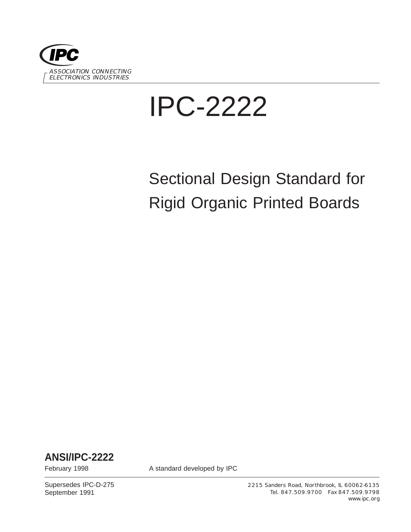

# IPC-2222

# Sectional Design Standard for Rigid Organic Printed Boards

**ANSI/IPC-2222**

February 1998 **A standard developed by IPC** 

Supersedes IPC-D-275 September 1991

2215 Sanders Road, Northbrook, IL 60062-6135 Tel. 847.509.9700 Fax 847.509.9798 www.ipc.org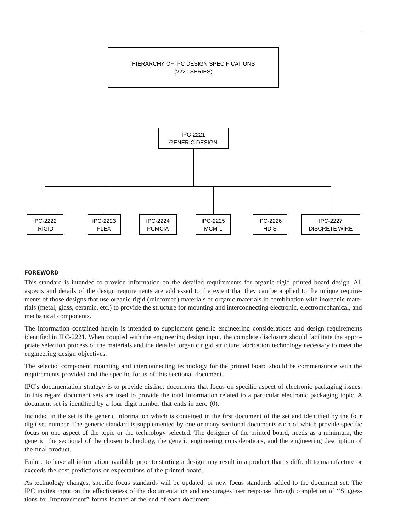

#### **FOREWORD**

This standard is intended to provide information on the detailed requirements for organic rigid printed board design. All aspects and details of the design requirements are addressed to the extent that they can be applied to the unique requirements of those designs that use organic rigid (reinforced) materials or organic materials in combination with inorganic materials (metal, glass, ceramic, etc.) to provide the structure for mounting and interconnecting electronic, electromechanical, and mechanical components.

The information contained herein is intended to supplement generic engineering considerations and design requirements identified in IPC-2221. When coupled with the engineering design input, the complete disclosure should facilitate the appropriate selection process of the materials and the detailed organic rigid structure fabrication technology necessary to meet the engineering design objectives.

The selected component mounting and interconnecting technology for the printed board should be commensurate with the requirements provided and the specific focus of this sectional document.

IPC's documentation strategy is to provide distinct documents that focus on specific aspect of electronic packaging issues. In this regard document sets are used to provide the total information related to a particular electronic packaging topic. A document set is identified by a four digit number that ends in zero (0).

Included in the set is the generic information which is contained in the first document of the set and identified by the four digit set number. The generic standard is supplemented by one or many sectional documents each of which provide specific focus on one aspect of the topic or the technology selected. The designer of the printed board, needs as a minimum, the generic, the sectional of the chosen technology, the generic engineering considerations, and the engineering description of the final product.

Failure to have all information available prior to starting a design may result in a product that is difficult to manufacture or exceeds the cost predictions or expectations of the printed board.

As technology changes, specific focus standards will be updated, or new focus standards added to the document set. The IPC invites input on the effectiveness of the documentation and encourages user response through completion of ''Suggestions for Improvement'' forms located at the end of each document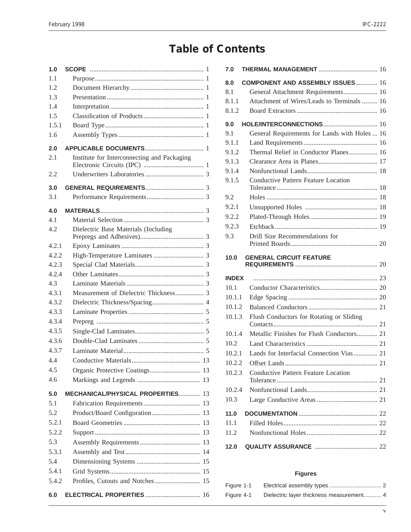## **Table of Contents**

| 1.0   |                                             |
|-------|---------------------------------------------|
| 1.1   |                                             |
| 1.2   |                                             |
| 1.3   |                                             |
| 1.4   |                                             |
| 1.5   |                                             |
| 1.5.1 |                                             |
| 1.6   |                                             |
| 2.0   |                                             |
| 2.1   | Institute for Interconnecting and Packaging |
| 2.2   |                                             |
| 3.0   |                                             |
| 3.1   |                                             |
| 4.0   |                                             |
| 4.1   |                                             |
| 4.2   | Dielectric Base Materials (Including        |
| 4.2.1 |                                             |
| 4.2.2 |                                             |
| 4.2.3 |                                             |
| 4.2.4 |                                             |
| 4.3   |                                             |
| 4.3.1 | Measurement of Dielectric Thickness 3       |
| 4.3.2 |                                             |
| 4.3.3 |                                             |
| 4.3.4 |                                             |
| 4.3.5 |                                             |
| 4.3.6 |                                             |
| 4.3.7 |                                             |
| 4.4   |                                             |
| 4.5   | Organic Protective Coatings 13              |
| 4.6   |                                             |
| 5.0   | <b>MECHANICAL/PHYSICAL PROPERTIES 13</b>    |
| 5.1   |                                             |
| 5.2   |                                             |
| 5.2.1 |                                             |
| 5.2.2 |                                             |
| 5.3   |                                             |
| 5.3.1 |                                             |
| 5.4   |                                             |
| 5.4.1 |                                             |
| 5.4.2 | Profiles, Cutouts and Notches  15           |
| 6.0   | <b>ELECTRICAL PROPERTIES  16</b>            |

| 7.0          |                                               |  |
|--------------|-----------------------------------------------|--|
| 8.0          | <b>COMPONENT AND ASSEMBLY ISSUES 16</b>       |  |
| 8.1          | General Attachment Requirements 16            |  |
| 8.1.1        | Attachment of Wires/Leads to Terminals  16    |  |
| 8.1.2        |                                               |  |
| 9.0          | HOLE/INTERCONNECTIONS  16                     |  |
| 9.1          | General Requirements for Lands with Holes  16 |  |
| 9.1.1        |                                               |  |
| 9.1.2        | Thermal Relief in Conductor Planes 16         |  |
| 9.1.3        |                                               |  |
| 9.1.4        |                                               |  |
| 9.1.5        | <b>Conductive Pattern Feature Location</b>    |  |
| 9.2          |                                               |  |
| 9.2.1        |                                               |  |
| 9.2.2        |                                               |  |
| 9.2.3        |                                               |  |
| 9.3          | Drill Size Recommendations for                |  |
| 10.0         | <b>GENERAL CIRCUIT FEATURE</b>                |  |
| <b>INDEX</b> |                                               |  |
| 10.1         |                                               |  |
| 10.1.1       |                                               |  |
| 10.1.2       |                                               |  |
| 10.1.3       | Flush Conductors for Rotating or Sliding      |  |
| 10.1.4       | Metallic Finishes for Flush Conductors 21     |  |
| 10.2         |                                               |  |
| 10.2.1       | Lands for Interfacial Connection Vias  21     |  |
| 10.2.2       |                                               |  |
| 10.2.3       | Conductive Pattern Feature Location           |  |
| 10.2.4       |                                               |  |
| 10.3         |                                               |  |
| 11.0         |                                               |  |
| 11.1         |                                               |  |
| 11.2         |                                               |  |
| 12.0         |                                               |  |

#### **Figures**

| Figure 1-1 |  |
|------------|--|
| Figure 4-1 |  |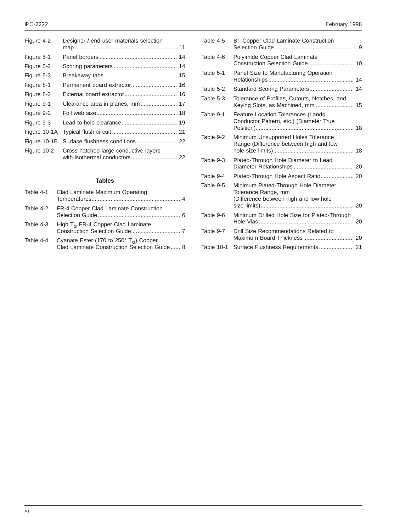| Figure 4-2   | Designer / end user materials selection                                |  |
|--------------|------------------------------------------------------------------------|--|
| Figure 5-1   |                                                                        |  |
| Figure 5-2   |                                                                        |  |
| Figure 5-3   |                                                                        |  |
| Figure 8-1   |                                                                        |  |
| Figure 8-2   |                                                                        |  |
| Figure 9-1   | Clearance area in planes, mm 17                                        |  |
| Figure 9-2   |                                                                        |  |
| Figure 9-3   |                                                                        |  |
| Figure 10-1A |                                                                        |  |
| Figure 10-1B | Surface flushness conditions 22                                        |  |
| Figure 10-2  | Cross-hatched large conductive layers<br>with isothermal conductors 22 |  |
|              |                                                                        |  |

#### **Tables**

|           | Table 4-1 Clad Laminate Maximum Operating                                                                   |  |
|-----------|-------------------------------------------------------------------------------------------------------------|--|
| Table 4-2 | FR-4 Copper Clad Laminate Construction                                                                      |  |
| Table 4-3 | High $T_G$ FR-4 Copper Clad Laminate                                                                        |  |
| Table 4-4 | Cyanate Ester (170 to 250 $\degree$ T <sub>G</sub> ) Copper<br>Clad Laminate Construction Selection Guide 8 |  |

#### IPC-2222 February 1998

| Table 4-5  | BT Copper Clad Laminate Construction                                                                 |
|------------|------------------------------------------------------------------------------------------------------|
| Table 4-6  | Polyimide Copper Clad Laminate                                                                       |
| Table 5-1  | Panel Size to Manufacturing Operation                                                                |
| Table 5-2  | Standard Scoring Parameters 14                                                                       |
| Table 5-3  | Tolerance of Profiles, Cutouts, Notches, and<br>Keying Slots, as Machined, mm  15                    |
| Table 9-1  | Feature Location Tolerances (Lands,<br>Conductor Pattern, etc.) (Diameter True                       |
| Table 9-2  | Minimum Unsupported Holes Tolerance<br>Range (Difference between high and low                        |
| Table 9-3  | Plated-Through Hole Diameter to Lead                                                                 |
| Table 9-4  | Plated-Through Hole Aspect Ratio 20                                                                  |
| Table 9-5  | Minimum Plated-Through Hole Diameter<br>Tolerance Range, mm<br>(Difference between high and low hole |
| Table 9-6  | Minimum Drilled Hole Size for Plated-Through                                                         |
| Table 9-7  | Drill Size Recommendations Related to                                                                |
| Table 10-1 | Surface Flushness Requirements 21                                                                    |
|            |                                                                                                      |